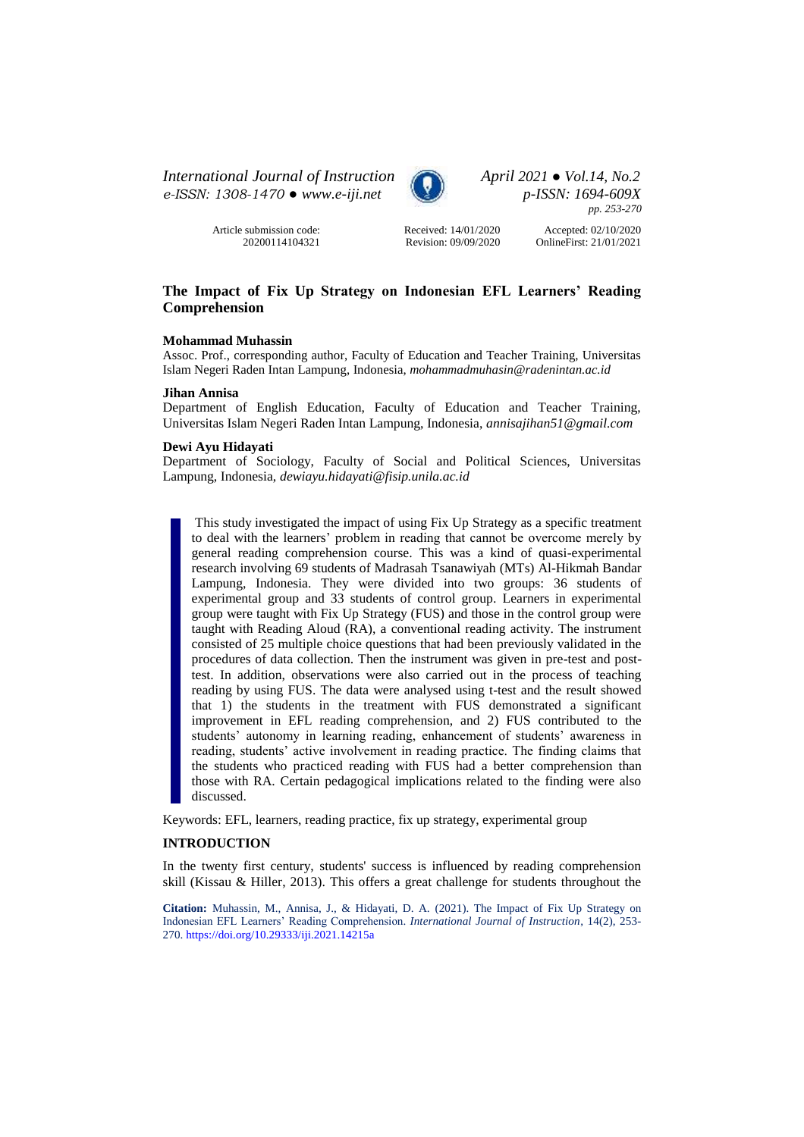*International Journal of Instruction April 2021 ● Vol.14, No.2 e-ISSN: 1308-1470 ● [www.e-iji.net](http://www.e-iji.net/) p-ISSN: 1694-609X*

> Article submission code: 20200114104321



*pp. 253-270*

Received: 14/01/2020 Revision: 09/09/2020

Accepted: 02/10/2020 OnlineFirst: 21/01/2021

# **The Impact of Fix Up Strategy on Indonesian EFL Learners' Reading Comprehension**

### **Mohammad Muhassin**

Assoc. Prof., corresponding author, Faculty of Education and Teacher Training, Universitas Islam Negeri Raden Intan Lampung, Indonesia, *mohammadmuhasin@radenintan.ac.id* 

#### **Jihan Annisa**

Department of English Education, Faculty of Education and Teacher Training, Universitas Islam Negeri Raden Intan Lampung, Indonesia, *annisajihan51@gmail.com* 

### **Dewi Ayu Hidayati**

Department of Sociology, Faculty of Social and Political Sciences, Universitas Lampung, Indonesia, *dewiayu.hidayati@fisip.unila.ac.id*

This study investigated the impact of using Fix Up Strategy as a specific treatment to deal with the learners' problem in reading that cannot be overcome merely by general reading comprehension course. This was a kind of quasi-experimental research involving 69 students of Madrasah Tsanawiyah (MTs) Al-Hikmah Bandar Lampung, Indonesia. They were divided into two groups: 36 students of experimental group and 33 students of control group. Learners in experimental group were taught with Fix Up Strategy (FUS) and those in the control group were taught with Reading Aloud (RA), a conventional reading activity. The instrument consisted of 25 multiple choice questions that had been previously validated in the procedures of data collection. Then the instrument was given in pre-test and posttest. In addition, observations were also carried out in the process of teaching reading by using FUS. The data were analysed using t-test and the result showed that 1) the students in the treatment with FUS demonstrated a significant improvement in EFL reading comprehension, and 2) FUS contributed to the students' autonomy in learning reading, enhancement of students' awareness in reading, students' active involvement in reading practice. The finding claims that the students who practiced reading with FUS had a better comprehension than those with RA. Certain pedagogical implications related to the finding were also discussed.

Keywords: EFL, learners, reading practice, fix up strategy, experimental group

# **INTRODUCTION**

In the twenty first century, students' success is influenced by reading comprehension skill (Kissau & Hiller, 2013). This offers a great challenge for students throughout the

**Citation:** Muhassin, M., Annisa, J., & Hidayati, D. A. (2021). The Impact of Fix Up Strategy on Indonesian EFL Learners' Reading Comprehension. *International Journal of Instruction*, 14(2), 253- 270. <https://doi.org/10.29333/iji.2021.14215a>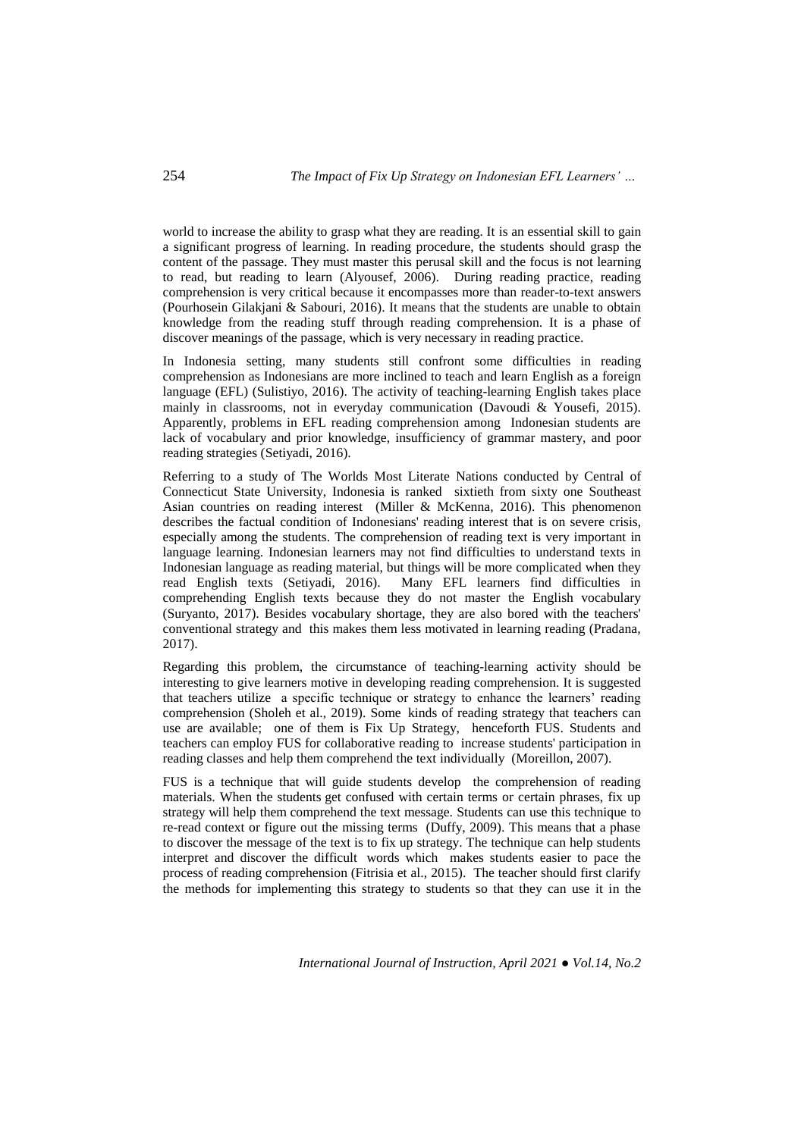world to increase the ability to grasp what they are reading. It is an essential skill to gain a significant progress of learning. In reading procedure, the students should grasp the content of the passage. They must master this perusal skill and the focus is not learning to read, but reading to learn (Alyousef, 2006). During reading practice, reading comprehension is very critical because it encompasses more than reader-to-text answers (Pourhosein Gilakjani & Sabouri, 2016). It means that the students are unable to obtain knowledge from the reading stuff through reading comprehension. It is a phase of discover meanings of the passage, which is very necessary in reading practice.

In Indonesia setting, many students still confront some difficulties in reading comprehension as Indonesians are more inclined to teach and learn English as a foreign language (EFL) (Sulistiyo, 2016). The activity of teaching-learning English takes place mainly in classrooms, not in everyday communication (Davoudi & Yousefi, 2015). Apparently, problems in EFL reading comprehension among Indonesian students are lack of vocabulary and prior knowledge, insufficiency of grammar mastery, and poor reading strategies (Setiyadi, 2016).

Referring to a study of The Worlds Most Literate Nations conducted by Central of Connecticut State University, Indonesia is ranked sixtieth from sixty one Southeast Asian countries on reading interest (Miller & McKenna, 2016). This phenomenon describes the factual condition of Indonesians' reading interest that is on severe crisis, especially among the students. The comprehension of reading text is very important in language learning. Indonesian learners may not find difficulties to understand texts in Indonesian language as reading material, but things will be more complicated when they read English texts (Setiyadi, 2016). Many EFL learners find difficulties in Many EFL learners find difficulties in comprehending English texts because they do not master the English vocabulary (Suryanto, 2017). Besides vocabulary shortage, they are also bored with the teachers' conventional strategy and this makes them less motivated in learning reading (Pradana, 2017).

Regarding this problem, the circumstance of teaching-learning activity should be interesting to give learners motive in developing reading comprehension. It is suggested that teachers utilize a specific technique or strategy to enhance the learners' reading comprehension (Sholeh et al., 2019). Some kinds of reading strategy that teachers can use are available; one of them is Fix Up Strategy, henceforth FUS. Students and teachers can employ FUS for collaborative reading to increase students' participation in reading classes and help them comprehend the text individually (Moreillon, 2007).

FUS is a technique that will guide students develop the comprehension of reading materials. When the students get confused with certain terms or certain phrases, fix up strategy will help them comprehend the text message. Students can use this technique to re-read context or figure out the missing terms (Duffy, 2009). This means that a phase to discover the message of the text is to fix up strategy. The technique can help students interpret and discover the difficult words which makes students easier to pace the process of reading comprehension (Fitrisia et al., 2015). The teacher should first clarify the methods for implementing this strategy to students so that they can use it in the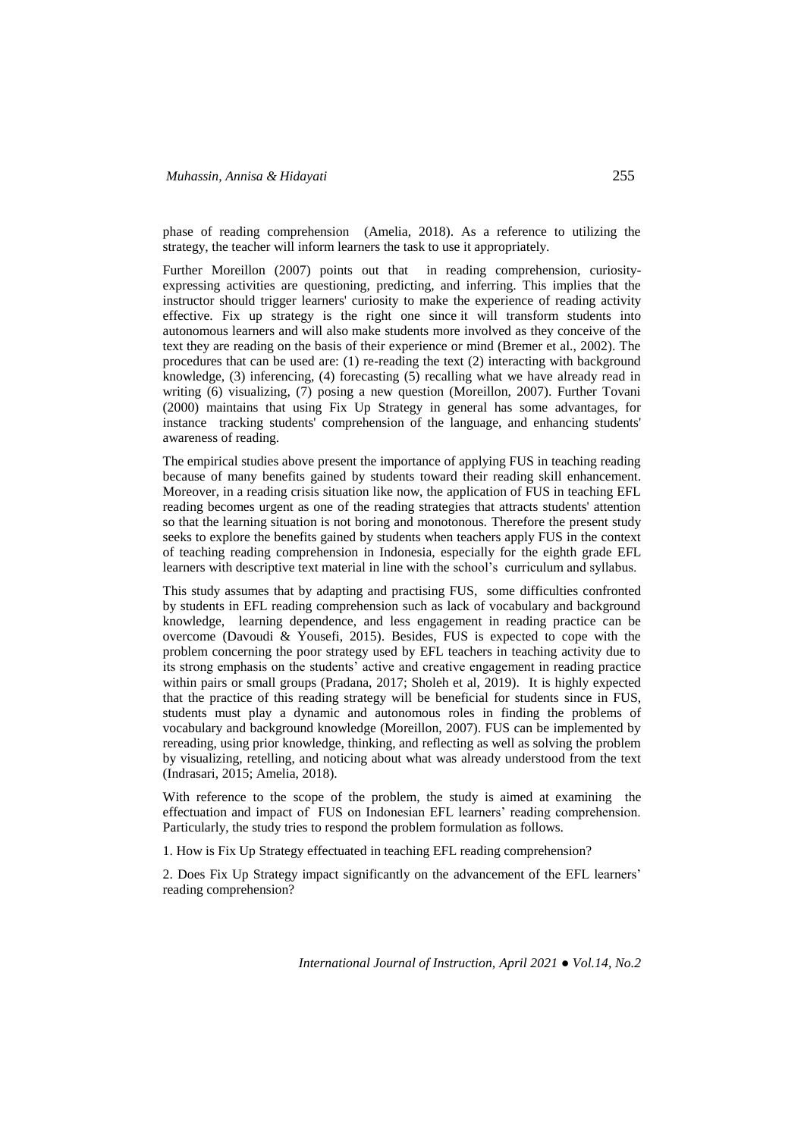phase of reading comprehension (Amelia, 2018). As a reference to utilizing the strategy, the teacher will inform learners the task to use it appropriately.

Further Moreillon (2007) points out that in reading comprehension, curiosityexpressing activities are questioning, predicting, and inferring. This implies that the instructor should trigger learners' curiosity to make the experience of reading activity effective. Fix up strategy is the right one since it will transform students into autonomous learners and will also make students more involved as they conceive of the text they are reading on the basis of their experience or mind (Bremer et al., 2002). The procedures that can be used are: (1) re-reading the text (2) interacting with background knowledge, (3) inferencing, (4) forecasting (5) recalling what we have already read in writing (6) visualizing, (7) posing a new question (Moreillon, 2007). Further Tovani (2000) maintains that using Fix Up Strategy in general has some advantages, for instance tracking students' comprehension of the language, and enhancing students' awareness of reading.

The empirical studies above present the importance of applying FUS in teaching reading because of many benefits gained by students toward their reading skill enhancement. Moreover, in a reading crisis situation like now, the application of FUS in teaching EFL reading becomes urgent as one of the reading strategies that attracts students' attention so that the learning situation is not boring and monotonous. Therefore the present study seeks to explore the benefits gained by students when teachers apply FUS in the context of teaching reading comprehension in Indonesia, especially for the eighth grade EFL learners with descriptive text material in line with the school's curriculum and syllabus.

This study assumes that by adapting and practising FUS, some difficulties confronted by students in EFL reading comprehension such as lack of vocabulary and background knowledge, learning dependence, and less engagement in reading practice can be overcome (Davoudi & Yousefi, 2015). Besides, FUS is expected to cope with the problem concerning the poor strategy used by EFL teachers in teaching activity due to its strong emphasis on the students' active and creative engagement in reading practice within pairs or small groups (Pradana, 2017; Sholeh et al, 2019). It is highly expected that the practice of this reading strategy will be beneficial for students since in FUS, students must play a dynamic and autonomous roles in finding the problems of vocabulary and background knowledge (Moreillon, 2007). FUS can be implemented by rereading, using prior knowledge, thinking, and reflecting as well as solving the problem by visualizing, retelling, and noticing about what was already understood from the text (Indrasari, 2015; Amelia, 2018).

With reference to the scope of the problem, the study is aimed at examining the effectuation and impact of FUS on Indonesian EFL learners' reading comprehension. Particularly, the study tries to respond the problem formulation as follows.

1. How is Fix Up Strategy effectuated in teaching EFL reading comprehension?

2. Does Fix Up Strategy impact significantly on the advancement of the EFL learners' reading comprehension?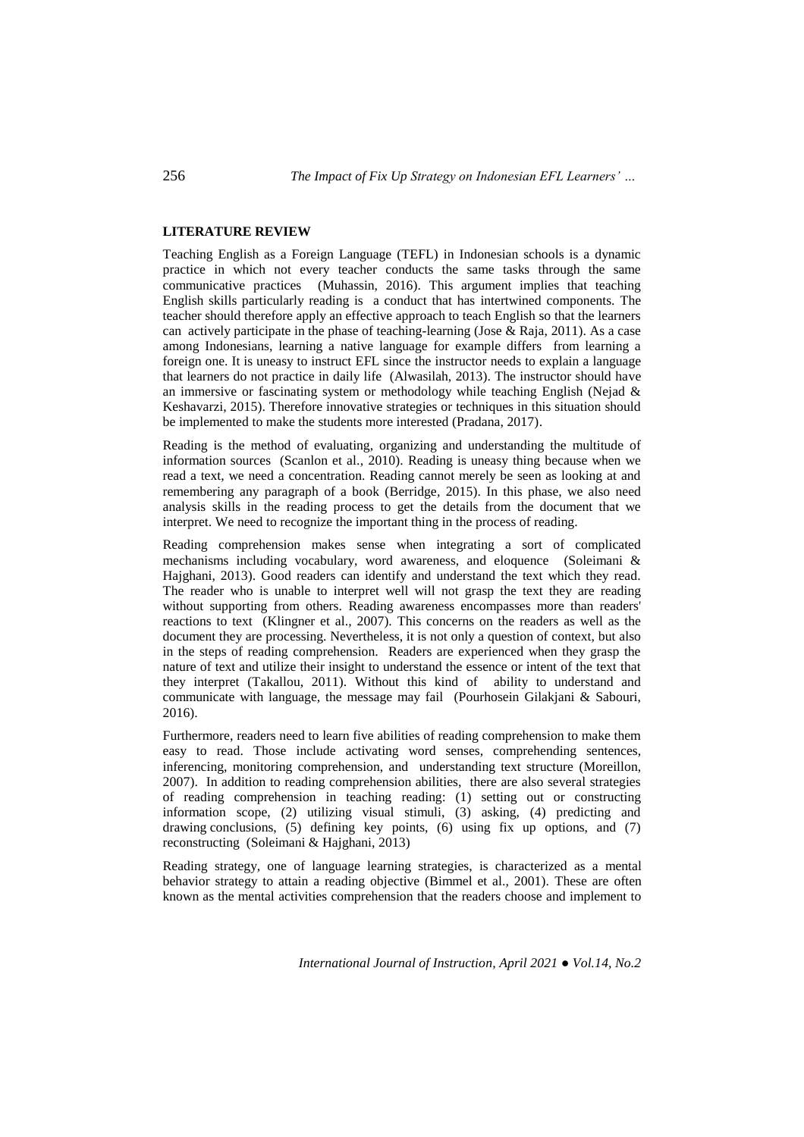# **LITERATURE REVIEW**

Teaching English as a Foreign Language (TEFL) in Indonesian schools is a dynamic practice in which not every teacher conducts the same tasks through the same communicative practices (Muhassin, 2016). This argument implies that teaching English skills particularly reading is a conduct that has intertwined components. The teacher should therefore apply an effective approach to teach English so that the learners can actively participate in the phase of teaching-learning (Jose & Raja, 2011). As a case among Indonesians, learning a native language for example differs from learning a foreign one. It is uneasy to instruct EFL since the instructor needs to explain a language that learners do not practice in daily life (Alwasilah, 2013). The instructor should have an immersive or fascinating system or methodology while teaching English (Nejad & Keshavarzi, 2015). Therefore innovative strategies or techniques in this situation should be implemented to make the students more interested (Pradana, 2017).

Reading is the method of evaluating, organizing and understanding the multitude of information sources (Scanlon et al.*,* 2010). Reading is uneasy thing because when we read a text, we need a concentration. Reading cannot merely be seen as looking at and remembering any paragraph of a book (Berridge*,* 2015). In this phase, we also need analysis skills in the reading process to get the details from the document that we interpret. We need to recognize the important thing in the process of reading.

Reading comprehension makes sense when integrating a sort of complicated mechanisms including vocabulary, word awareness, and eloquence (Soleimani & Hajghani, 2013). Good readers can identify and understand the text which they read. The reader who is unable to interpret well will not grasp the text they are reading without supporting from others. Reading awareness encompasses more than readers' reactions to text (Klingner et al.*,* 2007). This concerns on the readers as well as the document they are processing. Nevertheless, it is not only a question of context, but also in the steps of reading comprehension. Readers are experienced when they grasp the nature of text and utilize their insight to understand the essence or intent of the text that they interpret (Takallou, 2011). Without this kind of ability to understand and communicate with language, the message may fail (Pourhosein Gilakjani & Sabouri, 2016).

Furthermore, readers need to learn five abilities of reading comprehension to make them easy to read. Those include activating word senses, comprehending sentences, inferencing, monitoring comprehension, and understanding text structure (Moreillon, 2007). In addition to reading comprehension abilities, there are also several strategies of reading comprehension in teaching reading: (1) setting out or constructing information scope, (2) utilizing visual stimuli, (3) asking, (4) predicting and drawing conclusions, (5) defining key points, (6) using fix up options, and (7) reconstructing (Soleimani & Hajghani, 2013)

Reading strategy, one of language learning strategies, is characterized as a mental behavior strategy to attain a reading objective (Bimmel et al., 2001). These are often known as the mental activities comprehension that the readers choose and implement to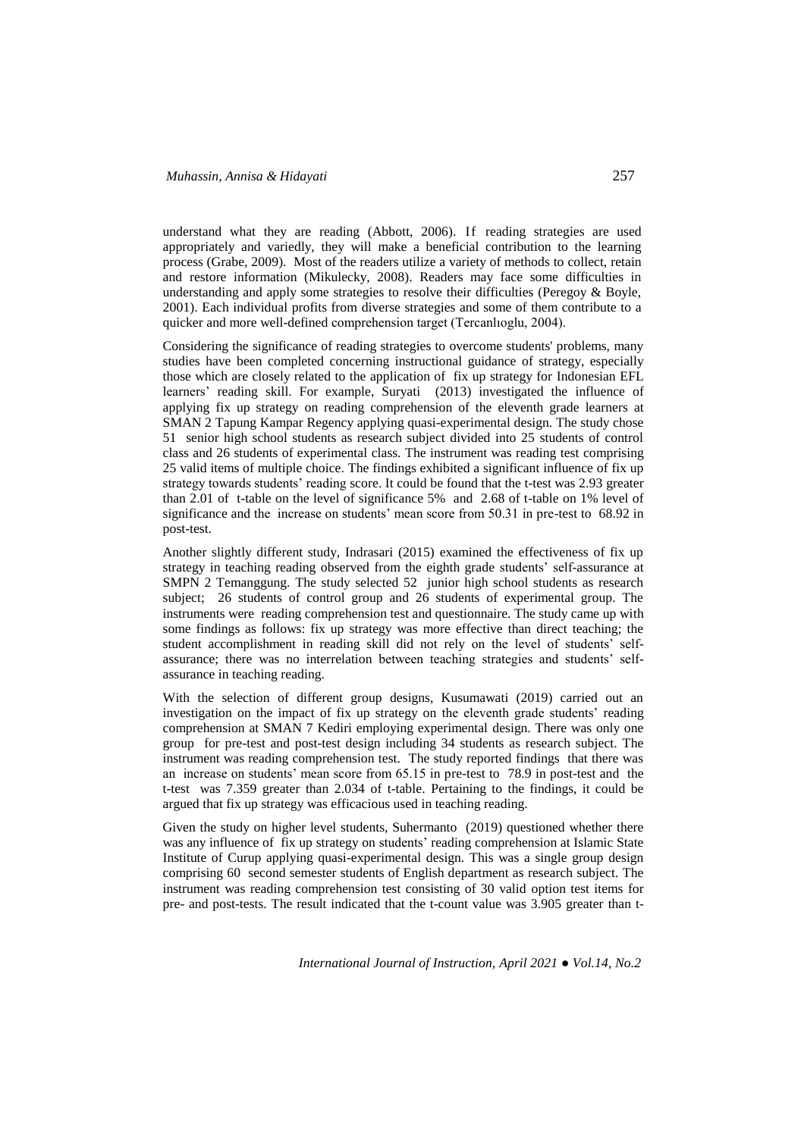understand what they are reading (Abbott, 2006). If reading strategies are used appropriately and variedly, they will make a beneficial contribution to the learning process (Grabe, 2009). Most of the readers utilize a variety of methods to collect, retain and restore information (Mikulecky, 2008). Readers may face some difficulties in understanding and apply some strategies to resolve their difficulties (Peregoy & Boyle, 2001). Each individual profits from diverse strategies and some of them contribute to a quicker and more well-defined comprehension target (Tercanlıoglu, 2004).

Considering the significance of reading strategies to overcome students' problems, many studies have been completed concerning instructional guidance of strategy, especially those which are closely related to the application of fix up strategy for Indonesian EFL learners' reading skill. For example, Suryati (2013) investigated the influence of applying fix up strategy on reading comprehension of the eleventh grade learners at SMAN 2 Tapung Kampar Regency applying quasi-experimental design. The study chose 51 senior high school students as research subject divided into 25 students of control class and 26 students of experimental class. The instrument was reading test comprising 25 valid items of multiple choice. The findings exhibited a significant influence of fix up strategy towards students' reading score. It could be found that the t-test was 2.93 greater than 2.01 of t-table on the level of significance 5% and 2.68 of t-table on 1% level of significance and the increase on students' mean score from 50.31 in pre-test to 68.92 in post-test.

Another slightly different study, Indrasari (2015) examined the effectiveness of fix up strategy in teaching reading observed from the eighth grade students' self-assurance at SMPN 2 Temanggung. The study selected 52 junior high school students as research subject; 26 students of control group and 26 students of experimental group. The instruments were reading comprehension test and questionnaire. The study came up with some findings as follows: fix up strategy was more effective than direct teaching; the student accomplishment in reading skill did not rely on the level of students' selfassurance; there was no interrelation between teaching strategies and students' selfassurance in teaching reading.

With the selection of different group designs, Kusumawati (2019) carried out an investigation on the impact of fix up strategy on the eleventh grade students' reading comprehension at SMAN 7 Kediri employing experimental design. There was only one group for pre-test and post-test design including 34 students as research subject. The instrument was reading comprehension test. The study reported findings that there was an increase on students' mean score from 65.15 in pre-test to 78.9 in post-test and the t-test was 7.359 greater than 2.034 of t-table. Pertaining to the findings, it could be argued that fix up strategy was efficacious used in teaching reading.

Given the study on higher level students, Suhermanto (2019) questioned whether there was any influence of fix up strategy on students' reading comprehension at Islamic State Institute of Curup applying quasi-experimental design. This was a single group design comprising 60 second semester students of English department as research subject. The instrument was reading comprehension test consisting of 30 valid option test items for pre- and post-tests. The result indicated that the t-count value was 3.905 greater than t-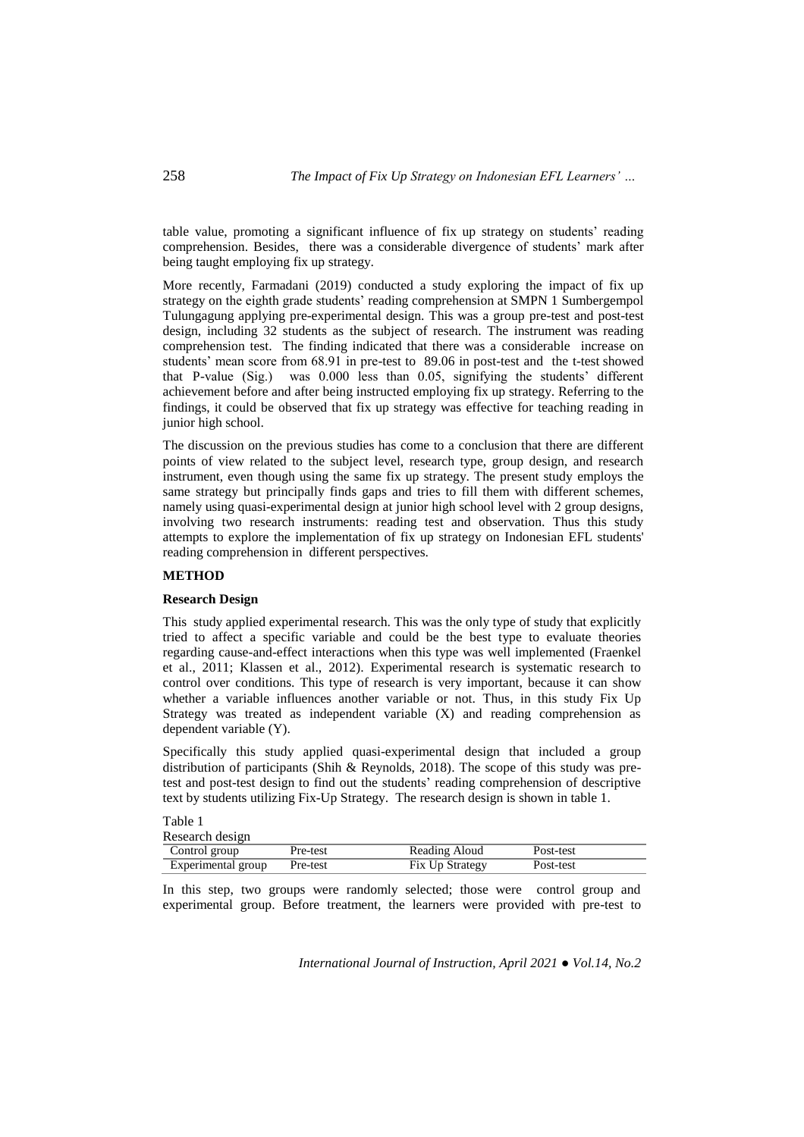table value, promoting a significant influence of fix up strategy on students' reading comprehension. Besides, there was a considerable divergence of students' mark after being taught employing fix up strategy.

More recently, Farmadani (2019) conducted a study exploring the impact of fix up strategy on the eighth grade students' reading comprehension at SMPN 1 Sumbergempol Tulungagung applying pre-experimental design. This was a group pre-test and post-test design, including 32 students as the subject of research. The instrument was reading comprehension test. The finding indicated that there was a considerable increase on students' mean score from 68.91 in pre-test to 89.06 in post-test and the t-test showed that P-value (Sig.) was 0.000 less than 0.05, signifying the students' different achievement before and after being instructed employing fix up strategy. Referring to the findings, it could be observed that fix up strategy was effective for teaching reading in junior high school.

The discussion on the previous studies has come to a conclusion that there are different points of view related to the subject level, research type, group design, and research instrument, even though using the same fix up strategy. The present study employs the same strategy but principally finds gaps and tries to fill them with different schemes, namely using quasi-experimental design at junior high school level with 2 group designs, involving two research instruments: reading test and observation. Thus this study attempts to explore the implementation of fix up strategy on Indonesian EFL students' reading comprehension in different perspectives.

### **METHOD**

## **Research Design**

This study applied experimental research. This was the only type of study that explicitly tried to affect a specific variable and could be the best type to evaluate theories regarding cause-and-effect interactions when this type was well implemented (Fraenkel et al., 2011; Klassen et al., 2012). Experimental research is systematic research to control over conditions. This type of research is very important, because it can show whether a variable influences another variable or not. Thus, in this study Fix Up Strategy was treated as independent variable (X) and reading comprehension as dependent variable (Y).

Specifically this study applied quasi-experimental design that included a group distribution of participants (Shih & Reynolds, 2018). The scope of this study was pretest and post-test design to find out the students' reading comprehension of descriptive text by students utilizing Fix-Up Strategy. The research design is shown in table 1.

Table 1 Research design

| Research design    |          |                 |           |  |  |  |  |  |
|--------------------|----------|-----------------|-----------|--|--|--|--|--|
| Control group      | Pre-test | Reading Aloud   | Post-test |  |  |  |  |  |
| Experimental group | Pre-test | Fix Up Strategy | Post-test |  |  |  |  |  |

In this step, two groups were randomly selected; those were control group and experimental group. Before treatment, the learners were provided with pre-test to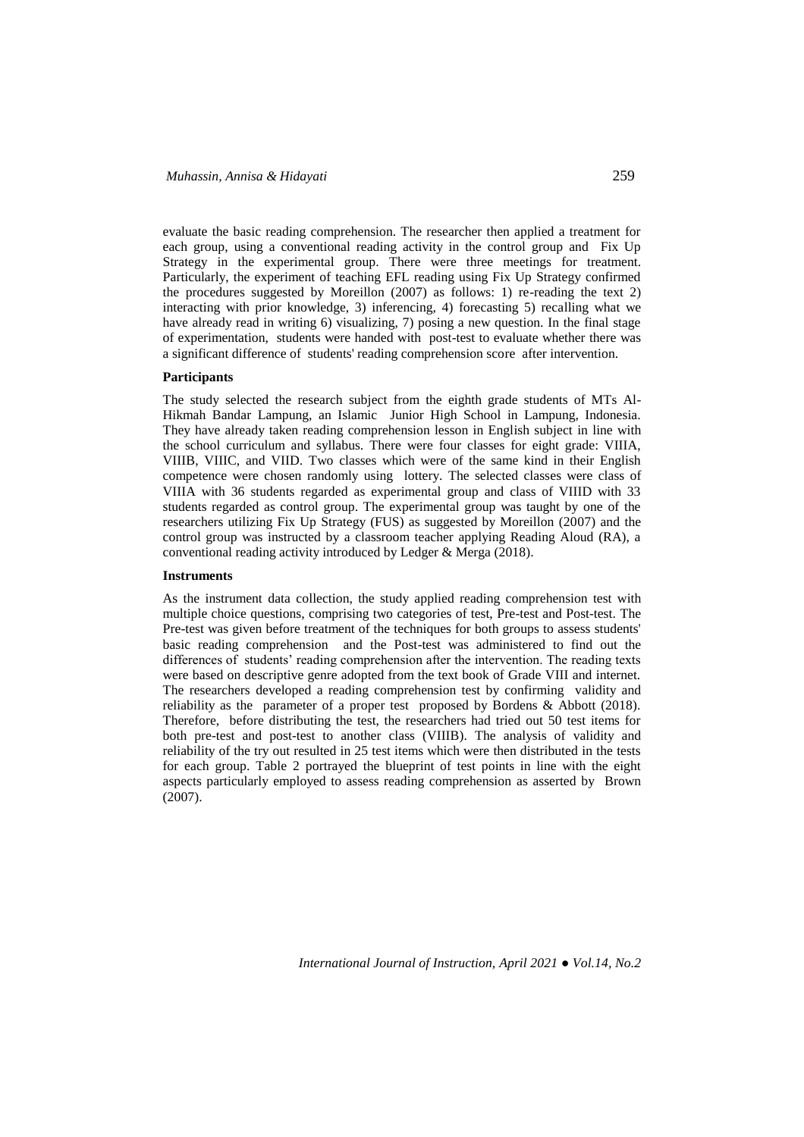evaluate the basic reading comprehension. The researcher then applied a treatment for each group, using a conventional reading activity in the control group and Fix Up Strategy in the experimental group. There were three meetings for treatment. Particularly, the experiment of teaching EFL reading using Fix Up Strategy confirmed the procedures suggested by Moreillon (2007) as follows: 1) re-reading the text 2) interacting with prior knowledge, 3) inferencing, 4) forecasting 5) recalling what we have already read in writing 6) visualizing, 7) posing a new question. In the final stage of experimentation, students were handed with post-test to evaluate whether there was a significant difference of students' reading comprehension score after intervention.

# **Participants**

The study selected the research subject from the eighth grade students of MTs Al-Hikmah Bandar Lampung, an Islamic Junior High School in Lampung, Indonesia. They have already taken reading comprehension lesson in English subject in line with the school curriculum and syllabus. There were four classes for eight grade: VIIIA, VIIIB, VIIIC, and VIID. Two classes which were of the same kind in their English competence were chosen randomly using lottery. The selected classes were class of VIIIA with 36 students regarded as experimental group and class of VIIID with 33 students regarded as control group. The experimental group was taught by one of the researchers utilizing Fix Up Strategy (FUS) as suggested by Moreillon (2007) and the control group was instructed by a classroom teacher applying Reading Aloud (RA), a conventional reading activity introduced by Ledger & Merga (2018).

### **Instruments**

As the instrument data collection, the study applied reading comprehension test with multiple choice questions, comprising two categories of test, Pre-test and Post-test. The Pre-test was given before treatment of the techniques for both groups to assess students' basic reading comprehension and the Post-test was administered to find out the differences of students' reading comprehension after the intervention. The reading texts were based on descriptive genre adopted from the text book of Grade VIII and internet. The researchers developed a reading comprehension test by confirming validity and reliability as the parameter of a proper test proposed by Bordens & Abbott (2018). Therefore, before distributing the test, the researchers had tried out 50 test items for both pre-test and post-test to another class (VIIIB). The analysis of validity and reliability of the try out resulted in 25 test items which were then distributed in the tests for each group. Table 2 portrayed the blueprint of test points in line with the eight aspects particularly employed to assess reading comprehension as asserted by Brown  $(2007)$ .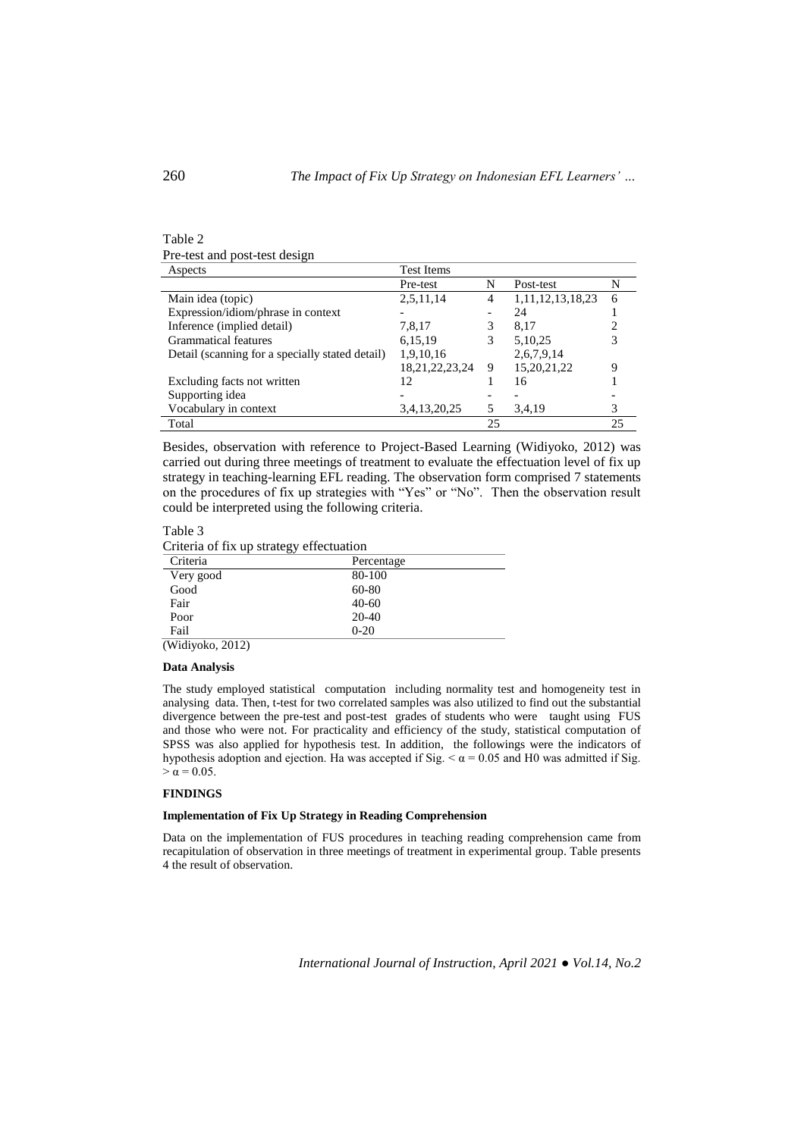| Pre-test and post-test design |  |
|-------------------------------|--|
| Aspects                       |  |

| Aspects                                         | <b>Test Items</b>  |    |                       |    |  |  |
|-------------------------------------------------|--------------------|----|-----------------------|----|--|--|
|                                                 | Pre-test           | N  | Post-test             | N  |  |  |
| Main idea (topic)                               | 2,5,11,14          |    | 1, 11, 12, 13, 18, 23 | 6  |  |  |
| Expression/idiom/phrase in context              |                    |    | 24                    |    |  |  |
| Inference (implied detail)                      | 7,8,17             | 3  | 8.17                  |    |  |  |
| Grammatical features                            | 6,15,19            | 3  | 5,10,25               |    |  |  |
| Detail (scanning for a specially stated detail) | 1,9,10,16          |    | 2,6,7,9,14            |    |  |  |
|                                                 | 18, 21, 22, 23, 24 | 9  | 15,20,21,22           | 9  |  |  |
| Excluding facts not written                     | 12                 |    | 16                    |    |  |  |
| Supporting idea                                 |                    |    |                       |    |  |  |
| Vocabulary in context                           | 3,4,13,20,25       |    | 3,4,19                |    |  |  |
| Total                                           |                    | 25 |                       | 25 |  |  |

Besides, observation with reference to Project-Based Learning (Widiyoko, 2012) was carried out during three meetings of treatment to evaluate the effectuation level of fix up strategy in teaching-learning EFL reading. The observation form comprised 7 statements on the procedures of fix up strategies with "Yes" or "No". Then the observation result could be interpreted using the following criteria.

# Table 3

Criteria of fix up strategy effectuation

| Criteria         | Percentage |  |
|------------------|------------|--|
| Very good        | 80-100     |  |
| Good             | 60-80      |  |
| Fair             | $40 - 60$  |  |
| Poor             | $20-40$    |  |
| Fail             | $0-20$     |  |
| (Widivoko. 2012) |            |  |

#### **Data Analysis**

The study employed statistical computation including normality test and homogeneity test in analysing data. Then, t-test for two correlated samples was also utilized to find out the substantial divergence between the pre-test and post-test grades of students who were taught using FUS and those who were not. For practicality and efficiency of the study, statistical computation of SPSS was also applied for hypothesis test. In addition, the followings were the indicators of hypothesis adoption and ejection. Ha was accepted if Sig.  $\alpha$  = 0.05 and H0 was admitted if Sig.  $> \alpha = 0.05$ .

# **FINDINGS**

#### **Implementation of Fix Up Strategy in Reading Comprehension**

Data on the implementation of FUS procedures in teaching reading comprehension came from recapitulation of observation in three meetings of treatment in experimental group. Table presents 4 the result of observation.

*International Journal of Instruction, April 2021 ● Vol.14, No.2*

Table 2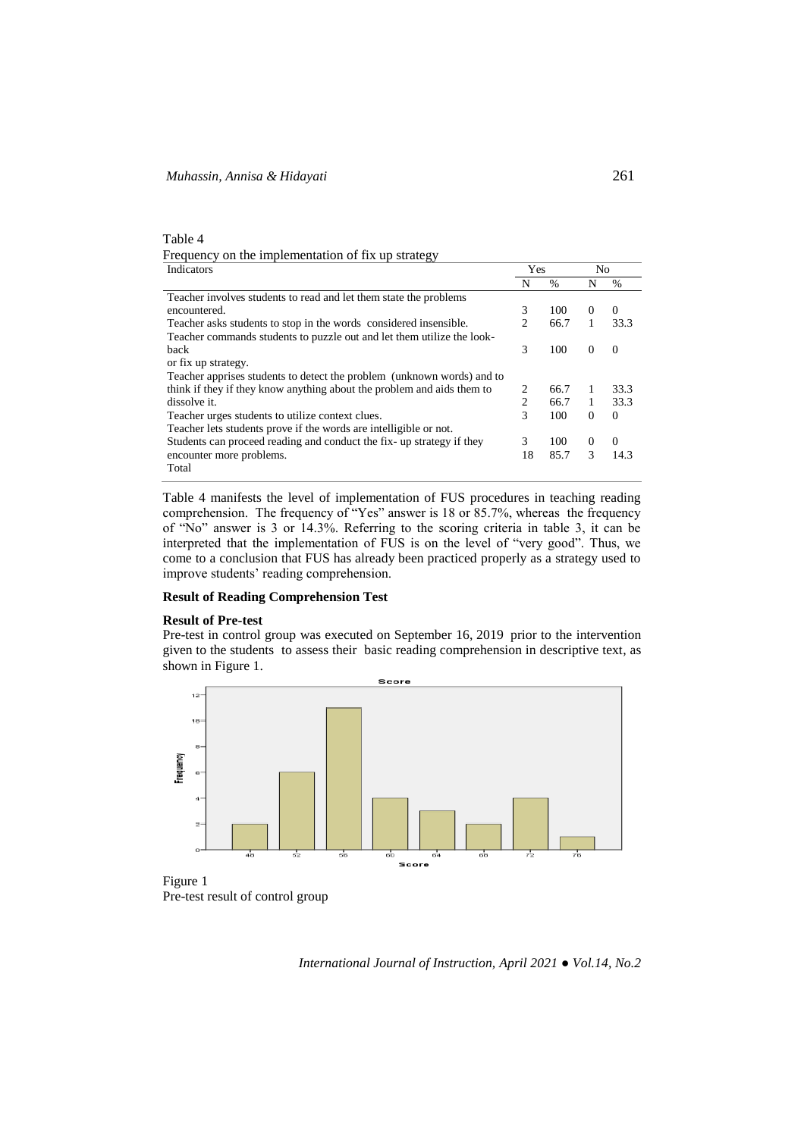| Table 4                                            |
|----------------------------------------------------|
| Frequency on the implementation of fix up strategy |
| Tadisatana                                         |

| Indicators                                                             |                | Yes           | No       |               |
|------------------------------------------------------------------------|----------------|---------------|----------|---------------|
|                                                                        | N              | $\frac{0}{0}$ | N        | $\frac{0}{0}$ |
| Teacher involves students to read and let them state the problems      |                |               |          |               |
| encountered.                                                           | 3              | 100           | $\Omega$ | $\Omega$      |
| Teacher asks students to stop in the words considered insensible.      | $\overline{c}$ | 66.7          |          | 33.3          |
| Teacher commands students to puzzle out and let them utilize the look- |                |               |          |               |
| back                                                                   | 3              | 100           | $\Omega$ | $\Omega$      |
| or fix up strategy.                                                    |                |               |          |               |
| Teacher apprises students to detect the problem (unknown words) and to |                |               |          |               |
| think if they if they know anything about the problem and aids them to | 2              | 66.7          | 1        | 33.3          |
| dissolve it.                                                           | 2              | 66.7          |          | 33.3          |
| Teacher urges students to utilize context clues.                       | 3              | 100           | $\Omega$ | $\Omega$      |
| Teacher lets students prove if the words are intelligible or not.      |                |               |          |               |
| Students can proceed reading and conduct the fix-up strategy if they   | 3              | 100           | $\Omega$ | $\Omega$      |
| encounter more problems.                                               | 18             | 85.7          | 3        | 14.3          |
| Total                                                                  |                |               |          |               |

Table 4 manifests the level of implementation of FUS procedures in teaching reading comprehension. The frequency of "Yes" answer is 18 or 85.7%, whereas the frequency of "No" answer is 3 or 14.3%. Referring to the scoring criteria in table 3, it can be interpreted that the implementation of FUS is on the level of "very good". Thus, we come to a conclusion that FUS has already been practiced properly as a strategy used to improve students' reading comprehension.

# **Result of Reading Comprehension Test**

#### **Result of Pre-test**

Pre-test in control group was executed on September 16, 2019 prior to the intervention given to the students to assess their basic reading comprehension in descriptive text, as shown in Figure 1.



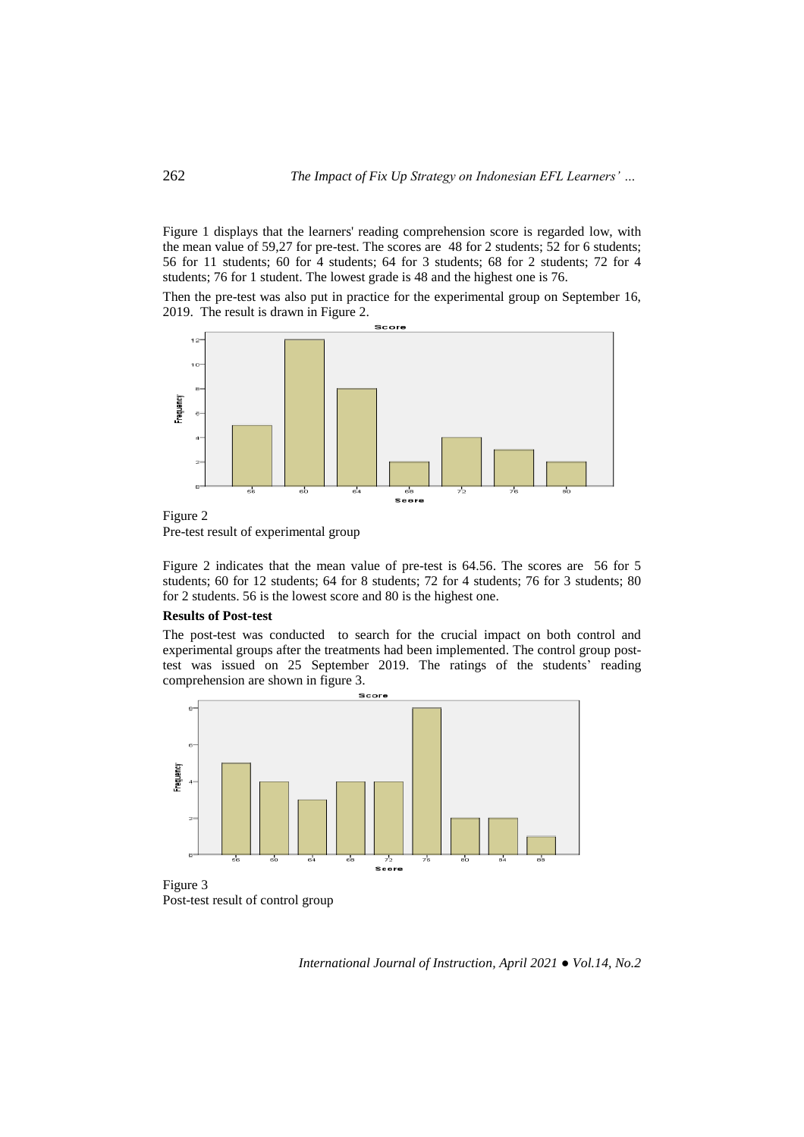Figure 1 displays that the learners' reading comprehension score is regarded low, with the mean value of 59,27 for pre-test. The scores are 48 for 2 students; 52 for 6 students; 56 for 11 students; 60 for 4 students; 64 for 3 students; 68 for 2 students; 72 for 4 students; 76 for 1 student. The lowest grade is 48 and the highest one is 76.

Then the pre-test was also put in practice for the experimental group on September 16, 2019. The result is drawn in Figure 2.



Pre-test result of experimental group

Figure 2 indicates that the mean value of pre-test is 64.56. The scores are 56 for 5 students; 60 for 12 students; 64 for 8 students; 72 for 4 students; 76 for 3 students; 80 for 2 students. 56 is the lowest score and 80 is the highest one.

### **Results of Post-test**

The post-test was conducted to search for the crucial impact on both control and experimental groups after the treatments had been implemented. The control group posttest was issued on 25 September 2019. The ratings of the students' reading comprehension are shown in figure 3.



Post-test result of control group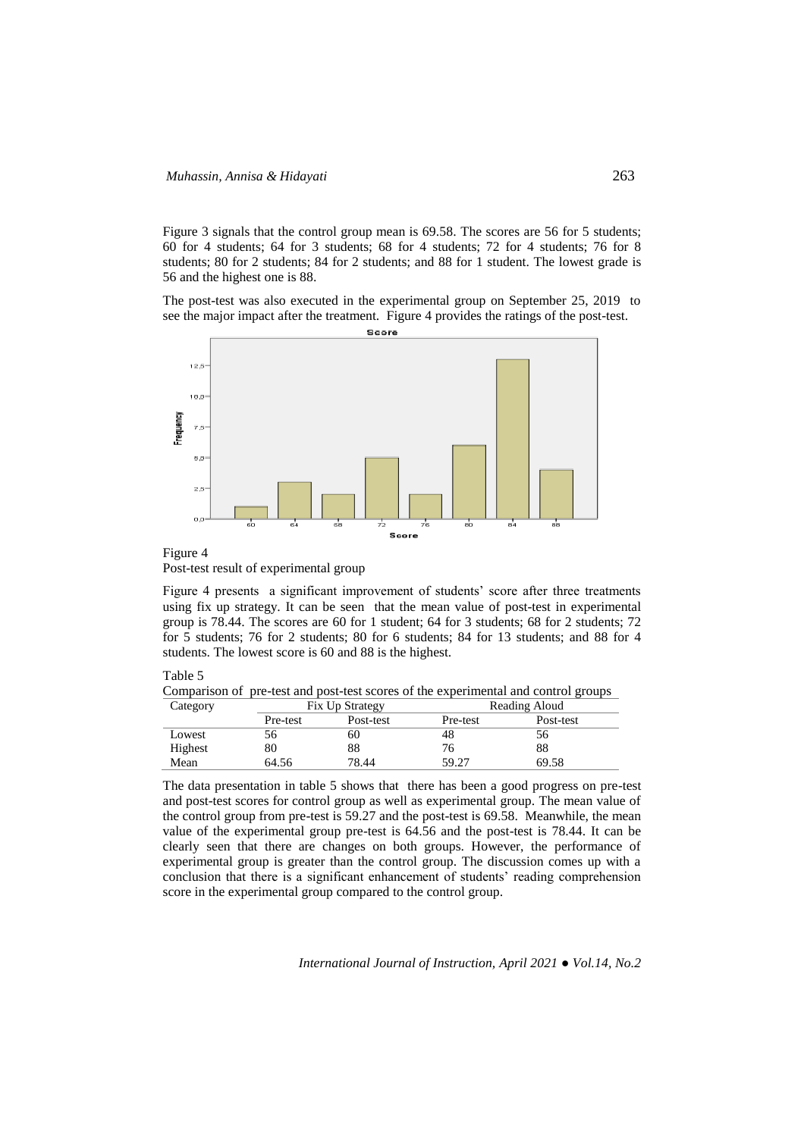Figure 3 signals that the control group mean is 69.58. The scores are 56 for 5 students; 60 for 4 students; 64 for 3 students; 68 for 4 students; 72 for 4 students; 76 for 8 students; 80 for 2 students; 84 for 2 students; and 88 for 1 student. The lowest grade is 56 and the highest one is 88.

The post-test was also executed in the experimental group on September 25, 2019 to see the major impact after the treatment. Figure 4 provides the ratings of the post-test.



Figure 4 Post-test result of experimental group

Figure 4 presents a significant improvement of students' score after three treatments using fix up strategy. It can be seen that the mean value of post-test in experimental group is 78.44. The scores are 60 for 1 student; 64 for 3 students; 68 for 2 students; 72 for 5 students; 76 for 2 students; 80 for 6 students; 84 for 13 students; and 88 for 4 students. The lowest score is 60 and 88 is the highest.

Table 5

Comparison of pre-test and post-test scores of the experimental and control groups<br>Category Category Fix Up Strategy Reading Aloud

| Caiegoly |          | <b>FIX UP SHATELY</b> |          | Reading Aloud |  |
|----------|----------|-----------------------|----------|---------------|--|
|          | Pre-test | Post-test             | Pre-test | Post-test     |  |
| Lowest   | 56       | 60                    | 48       | 56            |  |
| Highest  | 80       | 88                    | 76       | 88            |  |
| Mean     | 64.56    | 78.44                 | 59.27    | 69.58         |  |

The data presentation in table 5 shows that there has been a good progress on pre-test and post-test scores for control group as well as experimental group. The mean value of the control group from pre-test is 59.27 and the post-test is 69.58. Meanwhile, the mean value of the experimental group pre-test is 64.56 and the post-test is 78.44. It can be clearly seen that there are changes on both groups. However, the performance of experimental group is greater than the control group. The discussion comes up with a conclusion that there is a significant enhancement of students' reading comprehension score in the experimental group compared to the control group.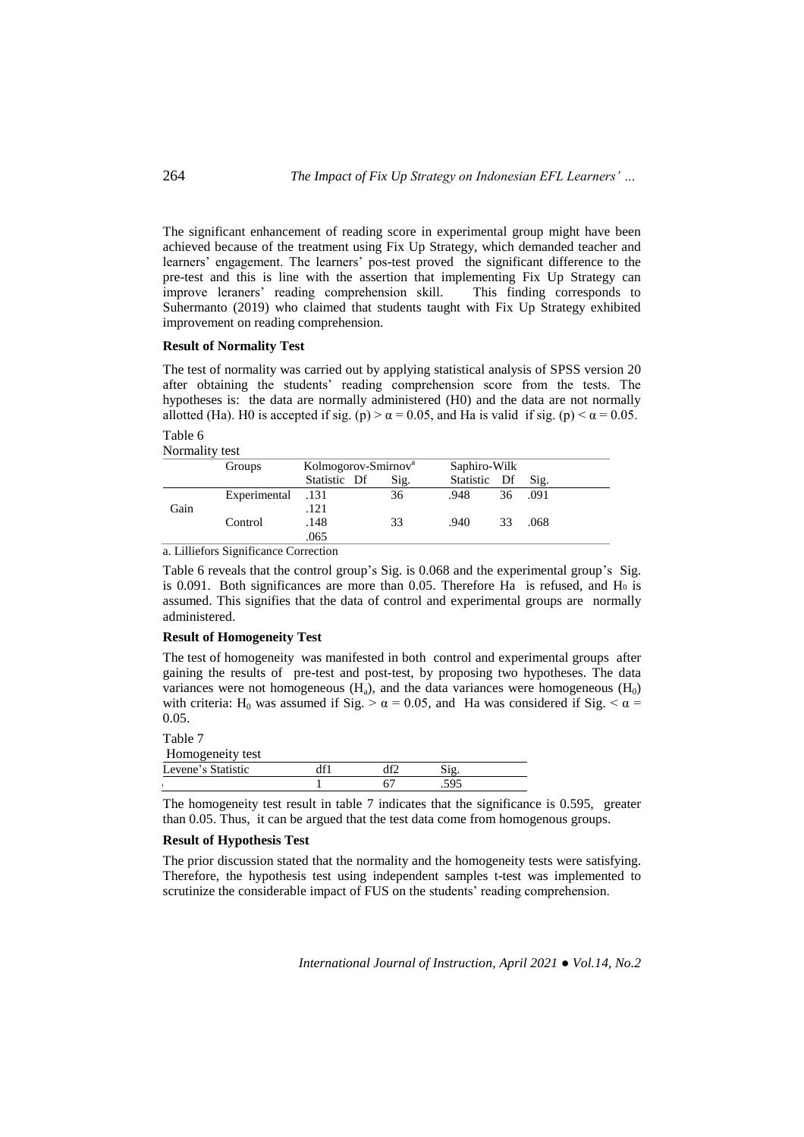The significant enhancement of reading score in experimental group might have been achieved because of the treatment using Fix Up Strategy, which demanded teacher and learners' engagement. The learners' pos-test proved the significant difference to the pre-test and this is line with the assertion that implementing Fix Up Strategy can improve leraners' reading comprehension skill. This finding corresponds to improve leraners' reading comprehension skill. Suhermanto (2019) who claimed that students taught with Fix Up Strategy exhibited improvement on reading comprehension.

## **Result of Normality Test**

The test of normality was carried out by applying statistical analysis of SPSS version 20 after obtaining the students' reading comprehension score from the tests. The hypotheses is: the data are normally administered (H0) and the data are not normally allotted (Ha). H0 is accepted if sig. (p)  $>\alpha$  = 0.05, and Ha is valid if sig. (p)  $< \alpha$  = 0.05.

Table 6 Normality test

|      | Groups            | Kolmogorov-Smirnov <sup>a</sup> |      | Saphiro-Wilk |    |         |
|------|-------------------|---------------------------------|------|--------------|----|---------|
|      |                   | Statistic Df                    | Sig. | Statistic Df |    | Sig.    |
|      | 131. Experimental |                                 | 36   | .948         |    | 36 .091 |
| Gain |                   | 121                             |      |              |    |         |
|      | Control           | .148                            | 33   | .940         | 33 | .068    |
|      |                   | .065                            |      |              |    |         |

a. Lilliefors Significance Correction

Table 6 reveals that the control group's Sig. is 0.068 and the experimental group's Sig. is 0.091. Both significances are more than 0.05. Therefore Ha is refused, and  $H_0$  is assumed. This signifies that the data of control and experimental groups are normally administered.

## **Result of Homogeneity Test**

The test of homogeneity was manifested in both control and experimental groups after gaining the results of pre-test and post-test, by proposing two hypotheses. The data variances were not homogeneous  $(H_a)$ , and the data variances were homogeneous  $(H_0)$ with criteria: H<sub>0</sub> was assumed if Sig.  $>\alpha = 0.05$ , and Ha was considered if Sig.  $< \alpha$ 0.05.

Table 7

| Homogeneity test   |  |  |
|--------------------|--|--|
| Levene's Statistic |  |  |
|                    |  |  |

The homogeneity test result in table 7 indicates that the significance is 0.595, greater than 0.05. Thus, it can be argued that the test data come from homogenous groups.

## **Result of Hypothesis Test**

The prior discussion stated that the normality and the homogeneity tests were satisfying. Therefore, the hypothesis test using independent samples t-test was implemented to scrutinize the considerable impact of FUS on the students' reading comprehension.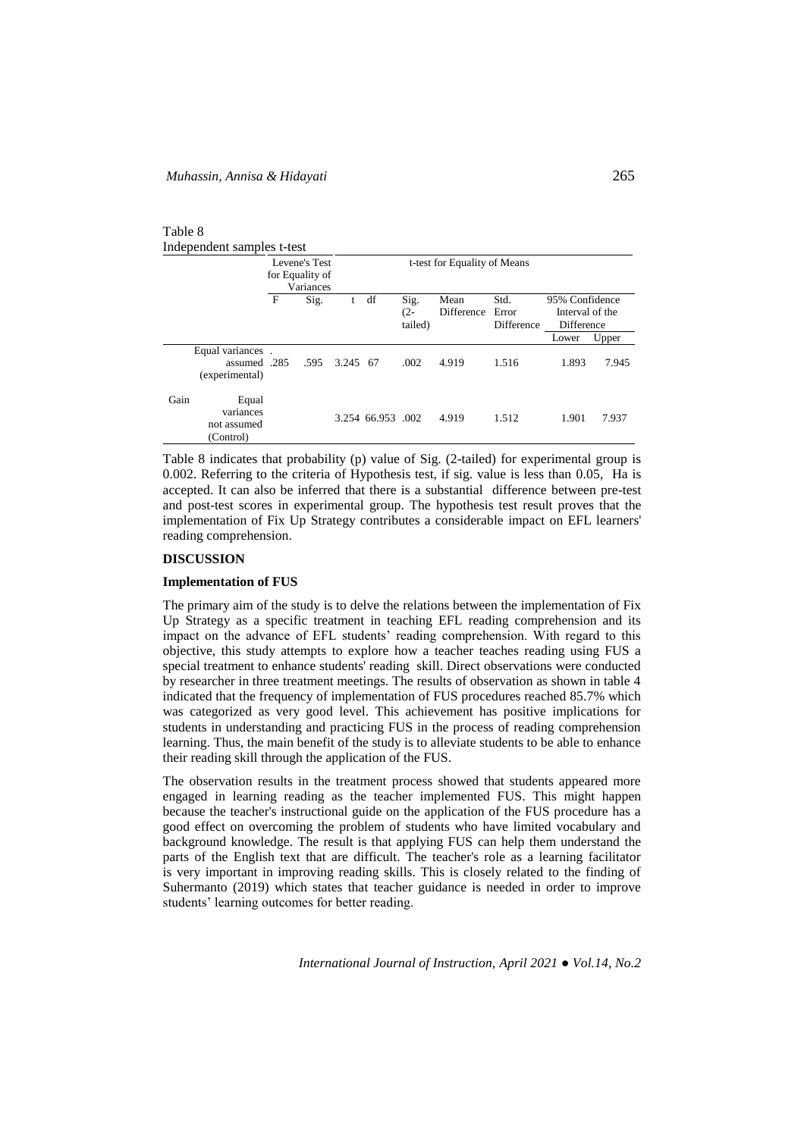| Table 8                    |  |
|----------------------------|--|
| Independent samples t-test |  |

|      |                                                    | for Equality of | Levene's Test<br>Variances |          | t-test for Equality of Means |                           |                    |                             |                                                 |       |
|------|----------------------------------------------------|-----------------|----------------------------|----------|------------------------------|---------------------------|--------------------|-----------------------------|-------------------------------------------------|-------|
|      |                                                    | $\mathbf F$     | Sig.                       |          | df                           | Sig.<br>$(2 -$<br>tailed) | Mean<br>Difference | Std.<br>Error<br>Difference | 95% Confidence<br>Interval of the<br>Difference |       |
|      |                                                    |                 |                            |          |                              |                           |                    |                             | Lower                                           | Upper |
|      | Equal variances.<br>assumed .285<br>(experimental) |                 | .595                       | 3.245 67 |                              | .002                      | 4.919              | 1.516                       | 1.893                                           | 7.945 |
| Gain | Equal<br>variances<br>not assumed<br>(Control)     |                 |                            |          | 3.254 66.953 .002            |                           | 4.919              | 1.512                       | 1.901                                           | 7.937 |

Table 8 indicates that probability (p) value of Sig. (2-tailed) for experimental group is 0.002. Referring to the criteria of Hypothesis test, if sig. value is less than 0.05, Ha is accepted. It can also be inferred that there is a substantial difference between pre-test and post-test scores in experimental group. The hypothesis test result proves that the implementation of Fix Up Strategy contributes a considerable impact on EFL learners' reading comprehension.

## **DISCUSSION**

#### **Implementation of FUS**

The primary aim of the study is to delve the relations between the implementation of Fix Up Strategy as a specific treatment in teaching EFL reading comprehension and its impact on the advance of EFL students' reading comprehension. With regard to this objective, this study attempts to explore how a teacher teaches reading using FUS a special treatment to enhance students' reading skill. Direct observations were conducted by researcher in three treatment meetings. The results of observation as shown in table 4 indicated that the frequency of implementation of FUS procedures reached 85.7% which was categorized as very good level. This achievement has positive implications for students in understanding and practicing FUS in the process of reading comprehension learning. Thus, the main benefit of the study is to alleviate students to be able to enhance their reading skill through the application of the FUS.

The observation results in the treatment process showed that students appeared more engaged in learning reading as the teacher implemented FUS. This might happen because the teacher's instructional guide on the application of the FUS procedure has a good effect on overcoming the problem of students who have limited vocabulary and background knowledge. The result is that applying FUS can help them understand the parts of the English text that are difficult. The teacher's role as a learning facilitator is very important in improving reading skills. This is closely related to the finding of Suhermanto (2019) which states that teacher guidance is needed in order to improve students' learning outcomes for better reading.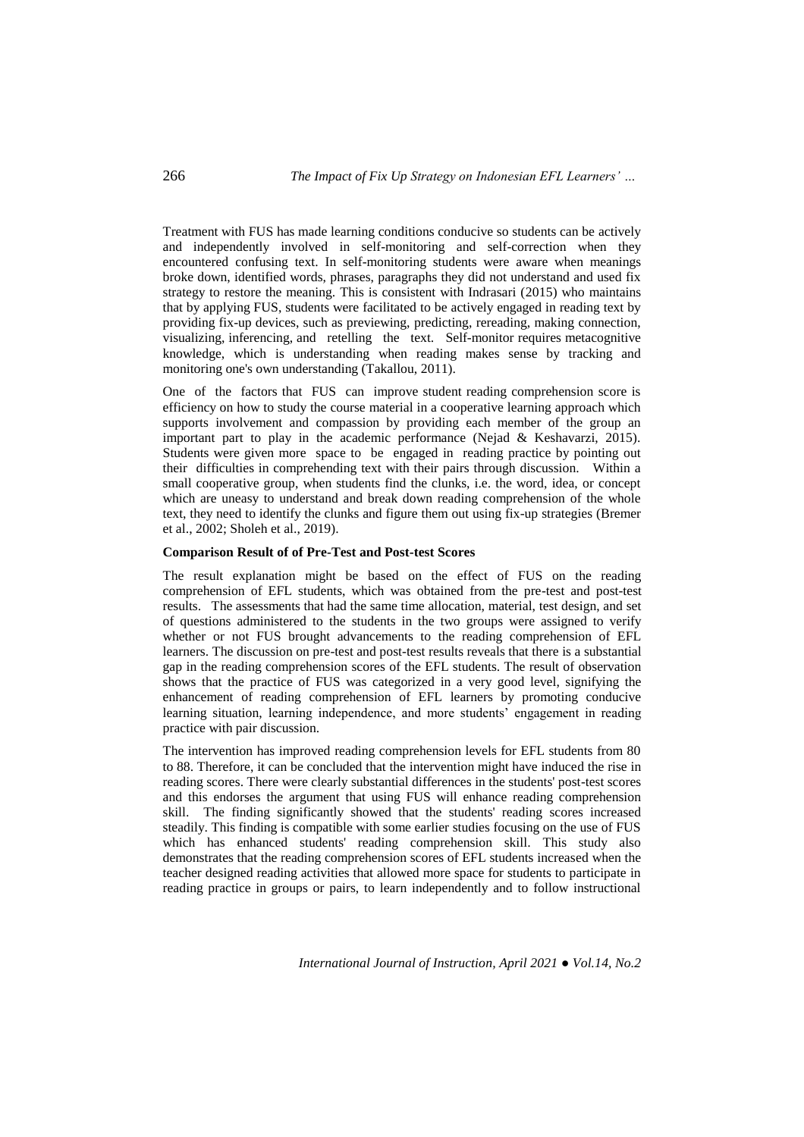Treatment with FUS has made learning conditions conducive so students can be actively and independently involved in self-monitoring and self-correction when they encountered confusing text. In self-monitoring students were aware when meanings broke down, identified words, phrases, paragraphs they did not understand and used fix strategy to restore the meaning. This is consistent with Indrasari (2015) who maintains that by applying FUS, students were facilitated to be actively engaged in reading text by providing fix-up devices, such as previewing, predicting, rereading, making connection, visualizing, inferencing, and retelling the text. Self-monitor requires metacognitive knowledge, which is understanding when reading makes sense by tracking and monitoring one's own understanding (Takallou, 2011).

One of the factors that FUS can improve student reading comprehension score is efficiency on how to study the course material in a cooperative learning approach which supports involvement and compassion by providing each member of the group an important part to play in the academic performance (Nejad & Keshavarzi, 2015). Students were given more space to be engaged in reading practice by pointing out their difficulties in comprehending text with their pairs through discussion. Within a small cooperative group, when students find the clunks, i.e. the word, idea, or concept which are uneasy to understand and break down reading comprehension of the whole text, they need to identify the clunks and figure them out using fix-up strategies (Bremer et al., 2002; Sholeh et al., 2019).

### **Comparison Result of of Pre-Test and Post-test Scores**

The result explanation might be based on the effect of FUS on the reading comprehension of EFL students, which was obtained from the pre-test and post-test results. The assessments that had the same time allocation, material, test design, and set of questions administered to the students in the two groups were assigned to verify whether or not FUS brought advancements to the reading comprehension of EFL learners. The discussion on pre-test and post-test results reveals that there is a substantial gap in the reading comprehension scores of the EFL students. The result of observation shows that the practice of FUS was categorized in a very good level, signifying the enhancement of reading comprehension of EFL learners by promoting conducive learning situation, learning independence, and more students' engagement in reading practice with pair discussion.

The intervention has improved reading comprehension levels for EFL students from 80 to 88. Therefore, it can be concluded that the intervention might have induced the rise in reading scores. There were clearly substantial differences in the students' post-test scores and this endorses the argument that using FUS will enhance reading comprehension skill. The finding significantly showed that the students' reading scores increased steadily. This finding is compatible with some earlier studies focusing on the use of FUS which has enhanced students' reading comprehension skill. This study also demonstrates that the reading comprehension scores of EFL students increased when the teacher designed reading activities that allowed more space for students to participate in reading practice in groups or pairs, to learn independently and to follow instructional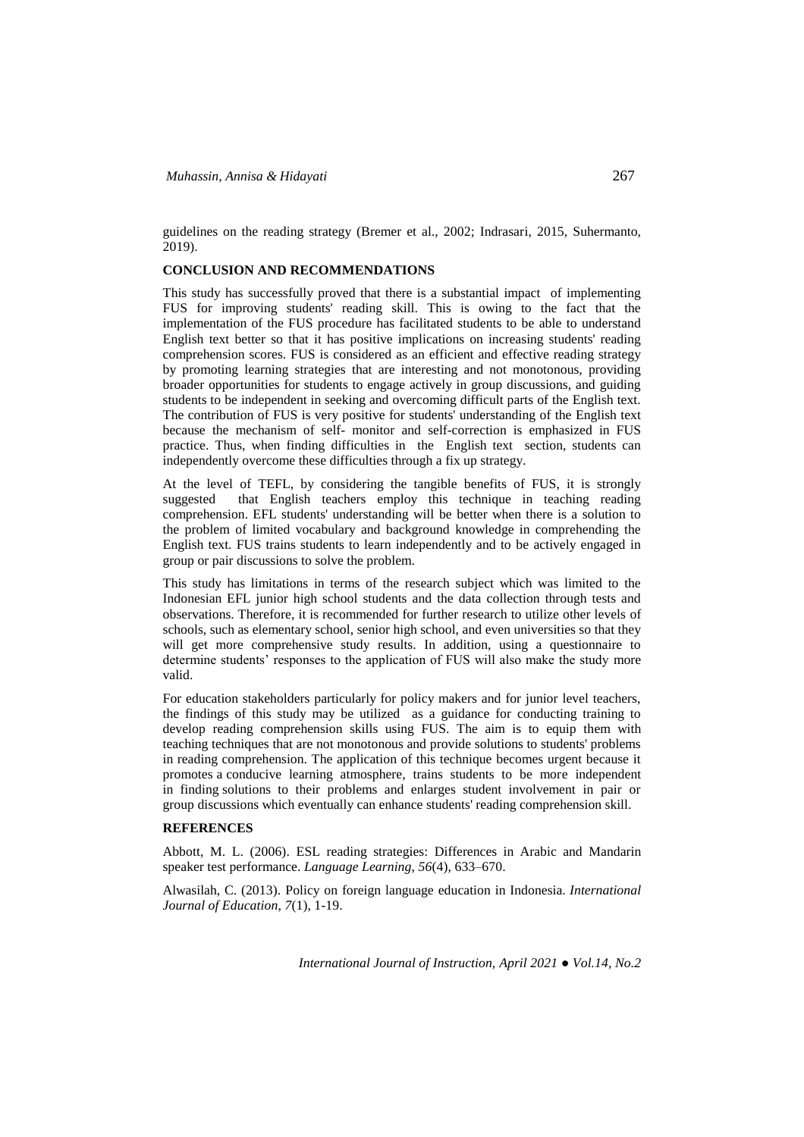guidelines on the reading strategy (Bremer et al., 2002; Indrasari, 2015, Suhermanto, 2019).

# **CONCLUSION AND RECOMMENDATIONS**

This study has successfully proved that there is a substantial impact of implementing FUS for improving students' reading skill. This is owing to the fact that the implementation of the FUS procedure has facilitated students to be able to understand English text better so that it has positive implications on increasing students' reading comprehension scores. FUS is considered as an efficient and effective reading strategy by promoting learning strategies that are interesting and not monotonous, providing broader opportunities for students to engage actively in group discussions, and guiding students to be independent in seeking and overcoming difficult parts of the English text. The contribution of FUS is very positive for students' understanding of the English text because the mechanism of self- monitor and self-correction is emphasized in FUS practice. Thus, when finding difficulties in the English text section, students can independently overcome these difficulties through a fix up strategy.

At the level of TEFL, by considering the tangible benefits of FUS, it is strongly suggested that English teachers employ this technique in teaching reading comprehension. EFL students' understanding will be better when there is a solution to the problem of limited vocabulary and background knowledge in comprehending the English text. FUS trains students to learn independently and to be actively engaged in group or pair discussions to solve the problem.

This study has limitations in terms of the research subject which was limited to the Indonesian EFL junior high school students and the data collection through tests and observations. Therefore, it is recommended for further research to utilize other levels of schools, such as elementary school, senior high school, and even universities so that they will get more comprehensive study results. In addition, using a questionnaire to determine students' responses to the application of FUS will also make the study more valid.

For education stakeholders particularly for policy makers and for junior level teachers, the findings of this study may be utilized as a guidance for conducting training to develop reading comprehension skills using FUS. The aim is to equip them with teaching techniques that are not monotonous and provide solutions to students' problems in reading comprehension. The application of this technique becomes urgent because it promotes a conducive learning atmosphere, trains students to be more independent in finding solutions to their problems and enlarges student involvement in pair or group discussions which eventually can enhance students' reading comprehension skill.

### **REFERENCES**

Abbott, M. L. (2006). ESL reading strategies: Differences in Arabic and Mandarin speaker test performance. *Language Learning*, *56*(4), 633–670.

Alwasilah, C. (2013). Policy on foreign language education in Indonesia. *International Journal of Education*, *7*(1), 1-19.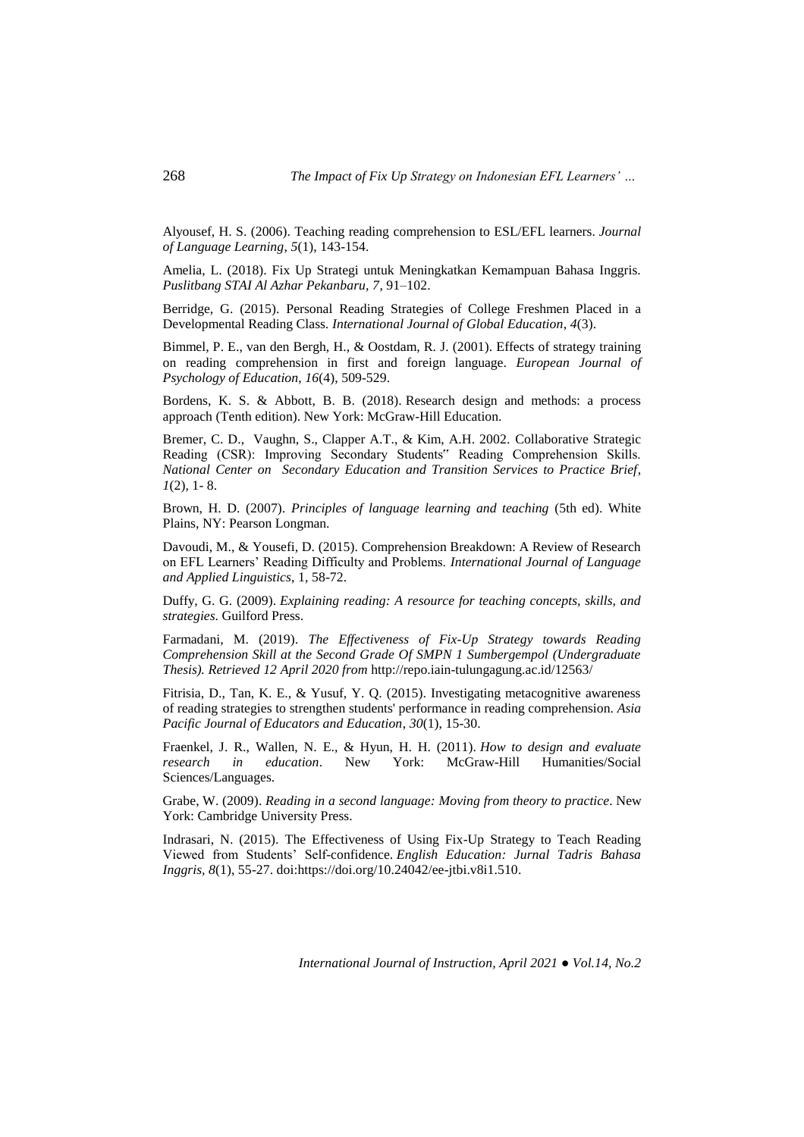Alyousef, H. S. (2006). Teaching reading comprehension to ESL/EFL learners. *Journal of Language Learning*, *5*(1), 143-154.

Amelia, L. (2018). Fix Up Strategi untuk Meningkatkan Kemampuan Bahasa Inggris. *Puslitbang STAI Al Azhar Pekanbaru, 7*, 91–102.

Berridge, G. (2015). Personal Reading Strategies of College Freshmen Placed in a Developmental Reading Class. *International Journal of Global Education*, *4*(3).

Bimmel, P. E., van den Bergh, H., & Oostdam, R. J. (2001). Effects of strategy training on reading comprehension in first and foreign language. *European Journal of Psychology of Education*, *16*(4), 509-529.

Bordens, K. S. & Abbott, B. B. (2018). Research design and methods: a process approach (Tenth edition). New York: McGraw-Hill Education.

Bremer, C. D., Vaughn, S., Clapper A.T., & Kim, A.H. 2002. Collaborative Strategic Reading (CSR): Improving Secondary Students" Reading Comprehension Skills. *National Center on Secondary Education and Transition Services to Practice Brief*, *1*(2), 1- 8.

Brown, H. D. (2007). *Principles of language learning and teaching* (5th ed). White Plains, NY: Pearson Longman.

Davoudi, M., & Yousefi, D. (2015). Comprehension Breakdown: A Review of Research on EFL Learners' Reading Difficulty and Problems. *International Journal of Language and Applied Linguistics*, 1, 58-72.

Duffy, G. G. (2009). *Explaining reading: A resource for teaching concepts, skills, and strategies*. Guilford Press.

Farmadani, M. (2019). *The Effectiveness of Fix-Up Strategy towards Reading Comprehension Skill at the Second Grade Of SMPN 1 Sumbergempol (Undergraduate Thesis). Retrieved 12 April 2020 from* <http://repo.iain-tulungagung.ac.id/12563/>

Fitrisia, D., Tan, K. E., & Yusuf, Y. Q. (2015). Investigating metacognitive awareness of reading strategies to strengthen students' performance in reading comprehension. *Asia Pacific Journal of Educators and Education*, *30*(1), 15-30.

Fraenkel, J. R., Wallen, N. E., & Hyun, H. H. (2011). *How to design and evaluate research in education*. New York: McGraw-Hill Humanities/Social Sciences/Languages.

Grabe, W. (2009). *Reading in a second language: Moving from theory to practice*. New York: Cambridge University Press.

Indrasari, N. (2015). The Effectiveness of Using Fix-Up Strategy to Teach Reading Viewed from Students' Self-confidence. *English Education: Jurnal Tadris Bahasa Inggris, 8*(1), 55-27. doi[:https://doi.org/10.24042/ee-jtbi.v8i1.510.](https://doi.org/10.24042/ee-jtbi.v8i1.510)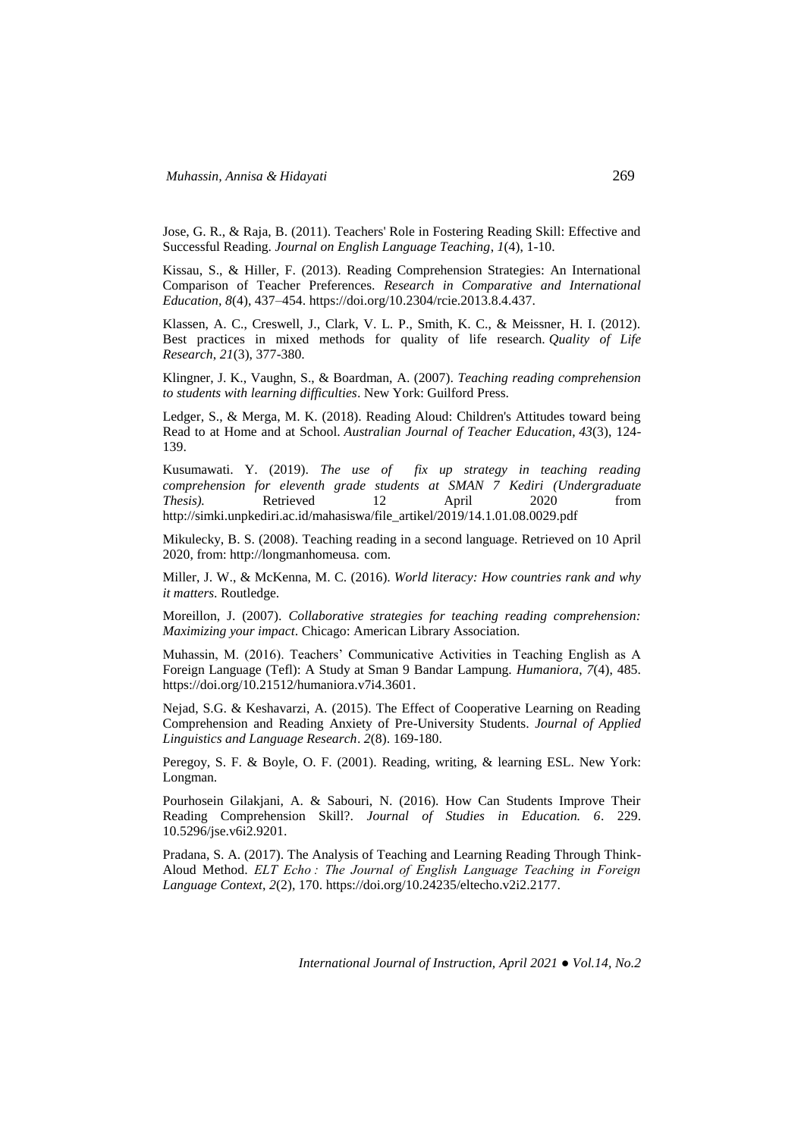Jose, G. R., & Raja, B. (2011). Teachers' Role in Fostering Reading Skill: Effective and Successful Reading. *Journal on English Language Teaching*, *1*(4), 1-10.

Kissau, S., & Hiller, F. (2013). Reading Comprehension Strategies: An International Comparison of Teacher Preferences. *Research in Comparative and International Education, 8*(4), 437–454. https://doi.org/10.2304/rcie.2013.8.4.437.

Klassen, A. C., Creswell, J., Clark, V. L. P., Smith, K. C., & Meissner, H. I. (2012). Best practices in mixed methods for quality of life research. *Quality of Life Research*, *21*(3), 377-380.

Klingner, J. K., Vaughn, S., & Boardman, A. (2007). *Teaching reading comprehension to students with learning difficulties*. New York: Guilford Press.

Ledger, S., & Merga, M. K. (2018). Reading Aloud: Children's Attitudes toward being Read to at Home and at School. *Australian Journal of Teacher Education*, *43*(3), 124- 139.

Kusumawati. Y. (2019). *The use of fix up strategy in teaching reading comprehension for eleventh grade students at SMAN 7 Kediri (Undergraduate Thesis).* Retrieved 12 April 2020 from [http://simki.unpkediri.ac.id/mahasiswa/file\\_artikel/2019/14.1.01.08.0029.pdf](http://simki.unpkediri.ac.id/mahasiswa/file_artikel/2019/14.1.01.08.0029.pdf)

Mikulecky, B. S. (2008). Teaching reading in a second language. Retrieved on 10 April 2020, from: [http://longmanhomeusa.](http://longmanhomeusa/) com.

Miller, J. W., & McKenna, M. C. (2016). *World literacy: How countries rank and why it matters*. Routledge.

Moreillon, J. (2007). *Collaborative strategies for teaching reading comprehension: Maximizing your impact*. Chicago: American Library Association.

Muhassin, M. (2016). Teachers' Communicative Activities in Teaching English as A Foreign Language (Tefl): A Study at Sman 9 Bandar Lampung. *Humaniora*, *7*(4), 485. [https://doi.org/10.21512/humaniora.v7i4.3601.](https://doi.org/10.21512/humaniora.v7i4.3601)

Nejad, S.G. & Keshavarzi, A. (2015). The Effect of Cooperative Learning on Reading Comprehension and Reading Anxiety of Pre-University Students. *Journal of Applied Linguistics and Language Research*. *2*(8). 169-180.

Peregoy, S. F. & Boyle, O. F. (2001). Reading, writing, & learning ESL. New York: Longman.

Pourhosein Gilakjani, A. & Sabouri, N. (2016). How Can Students Improve Their Reading Comprehension Skill?. *Journal of Studies in Education. 6*. 229. 10.5296/jse.v6i2.9201.

Pradana, S. A. (2017). The Analysis of Teaching and Learning Reading Through Think-Aloud Method. *ELT Echo : The Journal of English Language Teaching in Foreign Language Context*, *2*(2), 170. https://doi.org/10.24235/eltecho.v2i2.2177.